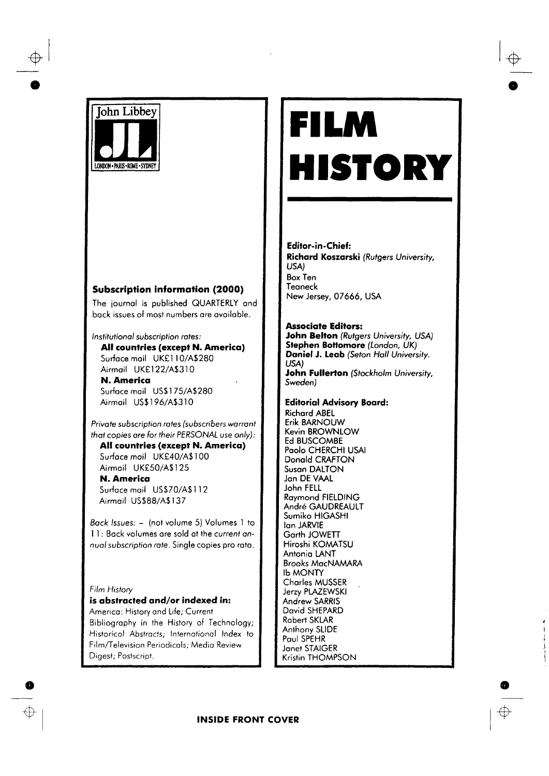

# **Subscription information (2000)**

The journal is published QUARTERLY and back issues of most numbers are available.

Institutional subscription rates:

All countries (except N. America) Surface mail UK£110/A\$280 Airmail UK£122/A\$310

**N. America** Surface mail US\$175/A\$280 Airmail US\$196/A\$310

Private subscription rates (subscribers warrant that copies are for their PERSONAL use only):

All countries (except N. America) Surface mail UK£40/A\$100 Airmail UK£50/A\$125

N. America Surface mail US\$70/A\$112 Airmail US\$88/A\$137

Back Issues: - (not volume 5) Volumes 1 to 11: Back volumes are sold at the current annual subscription rate. Single copies pro rata.

#### Film History

### is abstracted and/or indexed in:

America: History and Life; Current Bibliography in the History of Technology; Historical Abstracts; International Index to Film/Television Periodicals; Media Review Digest; Postscript.

# FILM HISTORY

**Editor-in-Chief:** Richard Koszarski (Rutgers University, USA) **Box Ten** Teaneck New Jersey, 07666, USA

#### **Associate Editors:**

John Belton (Rutgers University, USA) Stephen Bottomore (London, UK) Daniel J. Leab (Seton Hall University. LISA) John Fullerton (Stockholm University, Sweden)

## **Editorial Advisory Board:**

**Richard ABEL Erik BARNOUW** Kevin BROWNLOW **Ed BUSCOMBE** Paolo CHERCHI USAI Donald CRAFTON Susan DALTON Jan DE VAAL John FELL **Raymond FIELDING** André GAUDREAULT Sumiko HIGASHI lan JARVIE Garth JOWETT Hiroshi KOMATSU Antonia LANT **Brooks MacNAMARA Ib MONTY Charles MUSSER** Jerzy PLAZEWSKI Andrew SARRIS David SHEPARD **Robert SKLAR** Anthony SLIDE Paul SPEHR Janet STAIGER Kristin THOMPSON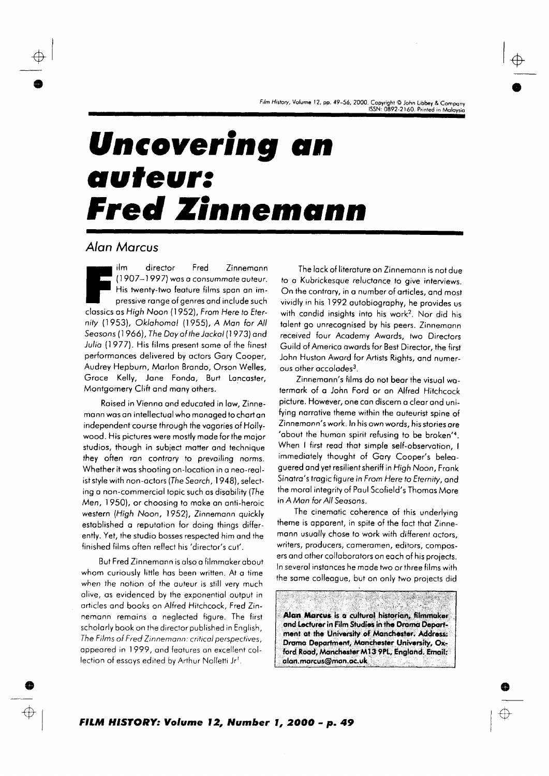Film History, Volume 12, pp. 49–56, 2000. Copyright © John Libbey & Company<br>15SN: 0892-2160. Printed in Malaysia

# **Uncovering an** auteur: **Fred Zinnemann**

# Alan Marcus

ilm director Fred Zinnemann (1907-1997) was a consummate auteur. His twenty-two feature films span an impressive range of genres and include such classics as High Noon (1952), From Here to Eternity (1953), Oklahoma! (1955), A Man for All Seasons (1966), The Day of the Jackal (1973) and Julia (1977). His films present some of the finest performances delivered by actors Gary Cooper, Audrey Hepburn, Marlon Brando, Orson Welles, Grace Kelly, Jane Fonda, Burt Lancaster, Montgomery Clift and many others.

Raised in Vienna and educated in law, Zinnemann was an intellectual who managed to chart an independent course through the vagaries of Hollywood. His pictures were mostly made for the major studios, though in subject matter and technique they often ran contrary to prevailing norms. Whether it was shooting on-location in a neo-realist style with non-actors (The Search, 1948), selecting a non-commercial topic such as disability (The Men, 1950), or choosing to make an anti-heroic western (High Noon, 1952), Zinnemann quickly established a reputation for doing things differently. Yet, the studio bosses respected him and the finished films often reflect his 'director's cut'.

But Fred Zinnemann is also a filmmaker about whom curiously little has been written. At a time when the notion of the auteur is still very much alive, as evidenced by the exponential output in articles and books on Alfred Hitchcock, Fred Zinnemann remains a neglected figure. The first scholarly book on the director published in English, The Films of Fred Zinnemann: critical perspectives, appeared in 1999, and features an excellent collection of essays edited by Arthur Nolletti Jr1.

The lack of literature on Zinnemann is not due to a Kubrickesque reluctance to give interviews. On the contrary, in a number of articles, and most vividly in his 1992 autobiography, he provides us with candid insights into his work<sup>2</sup>. Nor did his talent go unrecognised by his peers. Zinnemann received four Academy Awards, two Directors Guild of America awards for Best Director, the first John Huston Award for Artists Rights, and numerous other accolades<sup>3</sup>.

Zinnemann's films do not bear the visual watermark of a John Ford or an Alfred Hitchcock picture. However, one can discern a clear and unifying narrative theme within the auteurist spine of Zinnemann's work. In his own words, his stories are 'about the human spirit refusing to be broken'<sup>4</sup>. When I first read that simple self-observation, I immediately thought of Gary Cooper's beleaguered and yet resilient sheriff in High Noon, Frank Sinatra's tragic figure in From Here to Eternity, and the moral integrity of Paul Scofield's Thomas More in A Man for All Seasons.

The cinematic coherence of this underlying theme is apparent, in spite of the fact that Zinnemann usually chose to work with different actors, writers, producers, cameramen, editors, composers and other collaborators on each of his projects. In several instances he made two or three films with the same colleague, but on only two projects did

Alan Marcus is a cultural historian, filmmaker and Lecturer in Film Studies in the Drama Department at the University of Manchester. Address: Drama Department, Manchester University, Oxford Road, Manchester M13 9PL, England. Email: alan.marcus@man.ac.uk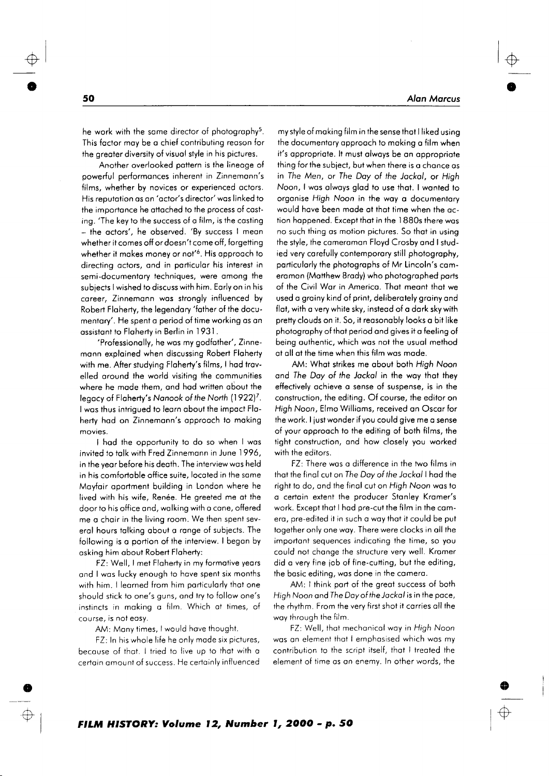he work with the same director of photography<sup>5</sup>. This factor may be a chief contributing reason for the greater diversity of visual style in his pictures.

Another overlooked pattern is the lineage of powerful performances inherent in Zinnemann's films, whether by novices or experienced actors. His reputation as an 'actor's director' was linked to the importance he attached to the process of casting. 'The key to the success of a film, is the casting - the actors', he observed. 'By success I mean whether it comes off or doesn't come off, forgetting whether it makes money or not'<sup>6</sup>. His approach to directing actors, and in particular his interest in semi-documentary techniques, were among the subjects I wished to discuss with him. Early on in his career, Zinnemann was strongly influenced by Robert Flaherty, the legendary 'father of the documentary'. He spent a period of time working as an assistant to Flaherty in Berlin in 1931.

'Professionally, he was my godfather', Zinnemann explained when discussing Robert Flaherty with me. After studying Flaherty's films, I had travelled around the world visiting the communities where he made them, and had written about the legacy of Flaherty's Nanook of the North (1922)<sup>7</sup>. I was thus intrigued to learn about the impact Flaherty had on Zinnemann's approach to making movies.

I had the opportunity to do so when I was invited to talk with Fred Zinnemann in June 1996, in the year before his death. The interview was held in his comfortable office suite, located in the same Mayfair apartment building in London where he lived with his wife, Renée. He greeted me at the door to his office and, walking with a cane, offered me a chair in the living room. We then spent several hours talking about a range of subjects. The following is a portion of the interview. I began by asking him about Robert Flaherty:

FZ: Well, I met Flaherty in my formative years and I was lucky enough to have spent six months with him. I learned from him particularly that one should stick to one's guns, and try to follow one's instincts in making a film. Which at times, of course, is not easy.

AM: Many times, I would have thought.

FZ: In his whole life he only made six pictures, because of that. I tried to live up to that with a certain amount of success. He certainly influenced

my style of making film in the sense that I liked using the documentary approach to making a film when it's appropriate. It must always be an appropriate thing for the subject, but when there is a chance as in The Men, or The Day of the Jackal, or High Noon, I was always glad to use that. I wanted to organise High Noon in the way a documentary would have been made at that time when the action happened. Except that in the 1880s there was no such thing as motion pictures. So that in using the style, the cameraman Floyd Crosby and I studied very carefully contemporary still photography, particularly the photographs of Mr Lincoln's cameraman (Matthew Brady) who photographed parts of the Civil War in America. That meant that we used a grainy kind of print, deliberately grainy and flat, with a very white sky, instead of a dark sky with pretty clouds on it. So, it reasonably looks a bit like photography of that period and gives it a feeling of being authentic, which was not the usual method at all at the time when this film was made.

AM: What strikes me about both High Noon and The Day of the Jackal in the way that they effectively achieve a sense of suspense, is in the construction, the editing. Of course, the editor on High Noon, Elmo Williams, received an Oscar for the work. I just wonder if you could give me a sense of your approach to the editing of both films, the tight construction, and how closely you worked with the editors.

FZ: There was a difference in the two films in that the final cut on The Day of the Jackal I had the right to do, and the final cut on High Noon was to a certain extent the producer Stanley Kramer's work. Except that I had pre-cut the film in the camera, pre-edited it in such a way that it could be put together only one way. There were clocks in all the important sequences indicating the time, so you could not change the structure very well. Kramer did a very fine job of fine-cutting, but the editing, the basic editing, was done in the camera.

AM: I think part of the great success of both High Noon and The Day of the Jackal is in the pace, the rhythm. From the very first shot it carries all the way through the film.

FZ: Well, that mechanical way in High Noon was an element that I emphasised which was my contribution to the script itself, that I treated the element of time as an enemy. In other words, the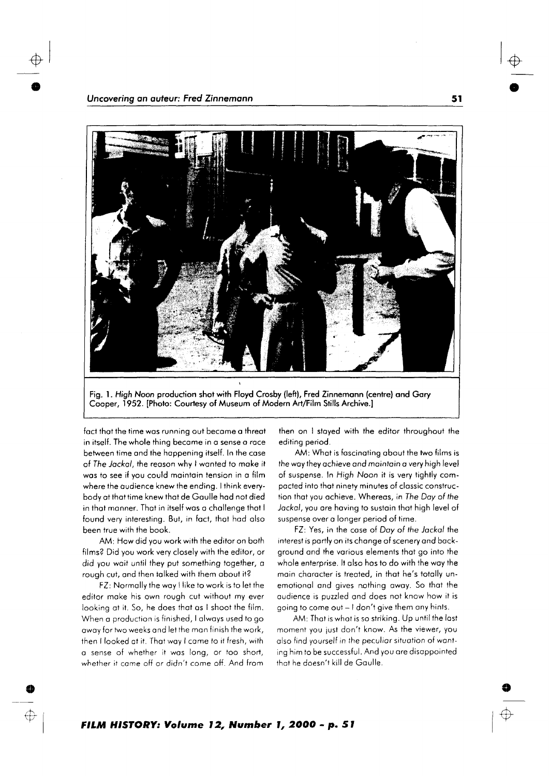

 $\frac{1}{\phi}$ 

Fig. l. High Noon production shot wirh Floyd Crosby (left), Fred Zinnemonn (centre) ond Gory Cooper, 1952. [Photo: Courtesy of Museum of Modern Art/Film Stills Archive.]

fact that the time was running out became a threat in itsel{. The whole thing become in o sense o roce between iime ond the hoppening itself. In the cose of The Jackal, the reason why I wanted to make it was to see if you could maintain tension in a film where the audience knew the ending. I think everybody ot thot time knew thot de Goulle hod not died in that manner. That in itself was a challenge that I found very inleresting. But, in foct, thot hod olso been true with the book.

AM: How did you work with the editor on both films? Did you work very closely with ihe ediior, or did you wait until they put something together, a rough cut, and then talked with them about it?

FZ: Normolly the woy I like to work is to let the editor make his own rough cut without my ever looking at it. So, he does that as I shoot the film. When a production is finished, I always used to go away for two weeks and let the man finish the work, then I looked ot it. Thot woy I come io it fresh, with o sense of whether it wos long, or too short, whether it came off or didn't come off. And from

then on I stoyed with the editor throughout the editing period,

AM: Whot is foscinoting obout the two films is the woy they ochieve ond mointoin o very high level of suspense. In High Noon it is very tightly compocted into thot ninely minutes of clossic construction thot you ochieve. Whereos, in The Doy of the Jockol, you ore hoving to sustoin thot high level of suspense over o longer period of time.

FZ: Yes, in the cose of Doy of the Jockol the interest is partly on its change of scenery and background ond the vorious elements thot go into the whole enterprise. It also hos to do with the way the main character is treated, in that he's totally unemotional and gives nothing away. So that the audience is puzzled and does not know how it is going to come out - I don't give them any hints.

AM: That is what is so striking. Up until the last moment you iust don't know. As the viewer, you also find yourself in the peculiar situation of wanting him to be successful. And you ore disoppointed that he doesn't kill de Gaulle.

s of the contract of the contract of the contract of the contract of the contract of the contract of the contra<br>Seconds of the contract of the contract of the contract of the contract of the contract of the contract of the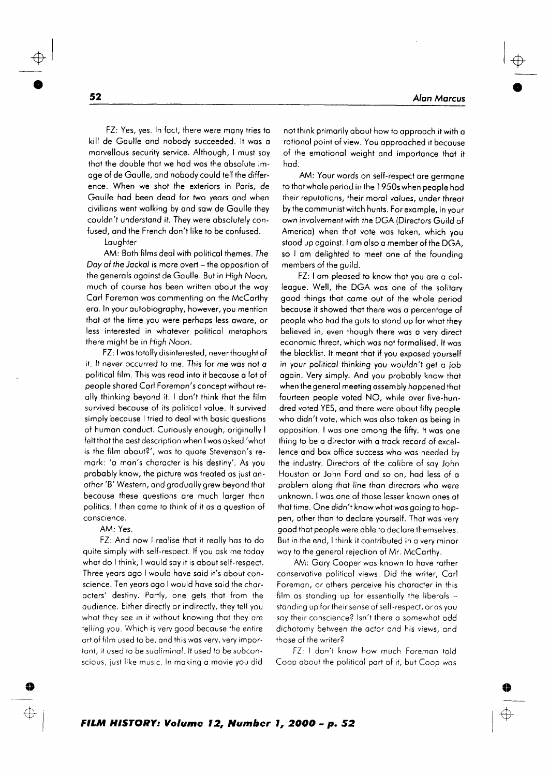FZ: Yes, yes. In fact, there were many tries to kill de Gaulle and nobody succeeded. It was a marvellous security service. Although, I must say that the double that we had was the absolute image of de Gaulle, and nobody could tell the difference. When we shot the exteriors in Paris, de Gaulle had been dead for two years and when civilians went walking by and saw de Gaulle they couldn't understand it. They were absolutely confused, and the French don't like to be confused.

Lauahter

AM: Both films deal with political themes. The Day of the Jackal is more overt - the opposition of the generals against de Gaulle. But in High Noon, much of course has been written about the way Carl Foreman was commenting on the McCarthy era. In your autobiography, however, you mention that at the time you were perhaps less aware, or less interested in whatever political metaphors there might be in High Noon.

FZ: I was totally disinterested, never thought of it. It never occurred to me. This for me was not a political film. This was read into it because a lot of people shared Carl Foreman's concept without really thinking beyond it. I don't think that the film survived because of its political value. It survived simply because I tried to deal with basic questions of human conduct. Curiously enough, originally I felt that the best description when I was asked 'what is the film about?', was to quote Stevenson's remark: 'a man's character is his destiny'. As you probably know, the picture was treated as just another 'B' Western, and gradually grew beyond that because these questions are much larger than politics. I then came to think of it as a question of conscience.

AM: Yes.

FZ: And now I realise that it really has to do quite simply with self-respect. If you ask me today what do I think, I would say it is about self-respect. Three years ago I would have said it's about conscience. Ten years ago I would have said the characters' destiny. Partly, one gets that from the audience. Either directly or indirectly, they tell you what they see in it without knowing that they are telling you. Which is very good because the entire art of film used to be, and this was very, very important, it used to be subliminal. It used to be subconscious, just like music. In making a movie you did

not think primarily about how to approach it with a rational point of view. You approached it because of the emotional weight and importance that it hod

AM: Your words on self-respect are germane to that whole period in the 1950s when people had their reputations, their moral values, under threat by the communist witch hunts. For example, in your own involvement with the DGA (Directors Guild of America) when that vote was taken, which you stood up against. I am also a member of the DGA, so I am delighted to meet one of the founding members of the quild.

FZ: I am pleased to know that you are a colleague. Well, the DGA was one of the solitary good things that came out of the whole period because it showed that there was a percentage of people who had the guts to stand up for what they believed in, even though there was a very direct economic threat, which was not formalised. It was the blacklist. It meant that if you exposed yourself in your political thinking you wouldn't get a job again. Very simply. And you probably know that when the general meeting assembly happened that fourteen people voted NO, while over five-hundred voted YES, and there were about fifty people who didn't vote, which was also taken as being in opposition. I was one among the fifty. It was one thing to be a director with a track record of excellence and box office success who was needed by the industry. Directors of the calibre of say John Houston or John Ford and so on, had less of a problem along that line than directors who were unknown. I was one of those lesser known ones at that time. One didn't know what was going to happen, other than to declare yourself. That was very good that people were able to declare themselves. But in the end, I think it contributed in a very minor way to the general rejection of Mr. McCarthy,

AM: Gary Cooper was known to have rather conservative political views. Did the writer, Carl Foreman, or others perceive his character in this film as standing up for essentially the liberals standing up for their sense of self-respect, or as you say their conscience? Isn't there a somewhat odd dichotomy between the actor and his views, and those of the writer?

FZ: I don't know how much Foreman told Coop about the political part of it, but Coop was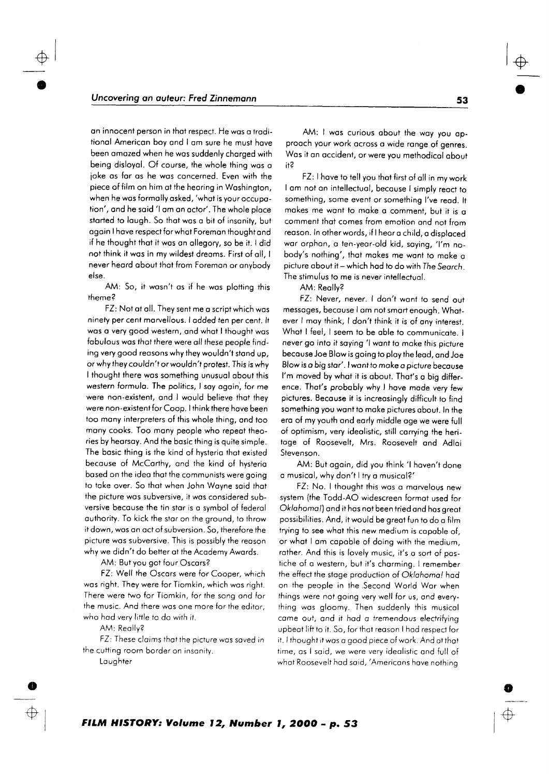on innocent person in that respect. He was a traditionol Americon boy ond I om sure he must hove been omozed when he wos suddenly chorged with being disloyol. Of course, the whole thing wos o joke os for os he wos concerned. Even with the piece of film on him ot the heoring in Woshington, when he was formally asked, 'what is your occupation', ond he soid 'l om on octor'. The whole ploce started to laugh. So that was a bit of insanity, but ogoin I hove respect for whot Foremon thought ond if he thought thot it wos on ollegory, so be it. I did not think it was in my wildest dreams. First of all, I never heard about that from Foreman or anybody else.

AM: So, it wasn't as if he was plotting this theme?

FZ: Not ot oll. They sent me o script which wos ninety per cent marvellous. I added ten per cent. It was a very good western, and what I thought was fabulous was that there were all these people finding very good reasons why they wouldn't stand up, or why they couldn't orwouldn't protest. This is why I thought there wos something unusuol obout this western formula. The politics, I say again, for me were non-existent, ond I would believe thot they were non -exisrent for Coop. I think there hove been too many interpreters of this whole thing, and too many cooks. Too many people who repeat theories by heorsoy. And the bosic thing is quite simple. The bosic thing is the kind of hysterio thot existed becouse of McCorthy, ond the kind of hysterio bosed on the ideo thoi the communists were going to toke over. So thot when John Woyne soid thot the picture was subversive, it was considered subversive becouse the tin stor is o symbol of federol authority. To kick the star on the ground, to throw it down, wos on oct o{ subversion. 5o, therefore the picture wos subversive. This is possibly the reoson why we didn't do better at the Academy Awards.

AM: But you got four Oscors?

FZ: Well the Oscars were for Cooper, which was right. They were for Tiomkin, which was right. There were two for Tiomkin, for the song ond for the music. And there was one more for the editor, who had very little to do with it.

AM: Reolly?

FZ: These cloims ihot the picture wos soved in the cutting room border on insonity.

Laughter

o

 $\bigoplus$ 

i

AM: I was curious about the way you approoch your work ocross o wide ronge of genres. Was it an accident, or were you methodical about n?

FZ: I have to tell you that first of all in my work I am not an intellectual, because I simply react to something, some event or something I've read. It makes me want to make a comment, but it is a comment thot comes from emotion ond nol from reoson. In otherwords, if lheoro child, o disploced war orphan, a ten-year-old kid, saying, 'I'm nobody's nothing', thot mokes me wont to moke o picture about it - which had to do with The Search. The stimulus to me is never intellectual.

AM: Reolly?

 $\frac{1}{\sqrt{2}}$ 

FZ: Never, never. I don't wont to send out messages, because I am not smart enough. Whatever I may think, I don't think it is of any interest. What I feel, I seem to be able to communicate. I never go into it saying 'I want to make this picture becouse Joe Blow is going to ploy the leod, ond Joe Blow is o big stor'. lwontto moke o picture becouse l'm moved by whot it is obout. Thot's o big difference. That's probably why I have mode very few pictures. Because it is increasingly difficult to find something you wont io moke pictures obout. In the ero of my youth ond eorly middle oge we were full of optimism, very ideolistic, still corrying the heritoge of Roosevelt, Mrs. Roosevelt ond Adlor Stevenson.

AM: But ogoin, did you think 'l hoven't done o musicol, why don't I iry o musicol?'

FZ: No. I thought this wos o morvelous new system (the Todd-AO widescreen formot used for Oklahomo!) ond it hos not been tried ond hos greot possibilities. And, it would be greot fun to do o film trying to see what this new medium is capable of, or whot I om copoble of doing with the medium, rother. And this is lovely music, it's o sort of postiche of a western, but it's charming. I remember the effect the stage production of Oklahoma! had on the people in the Second World War when things were not going very well for us, and everyihing wos gloomy. Then suddenly this musicol come ouf, ond it hod o tremendous electrifying upbeat lift to it. So, for that reason I had respect for it. I thought it was a good piece of work. And at that fime, os lsoid, we were very ideolistic ond full of whot Roosevelt hod soid, 'Americons hove nothino

o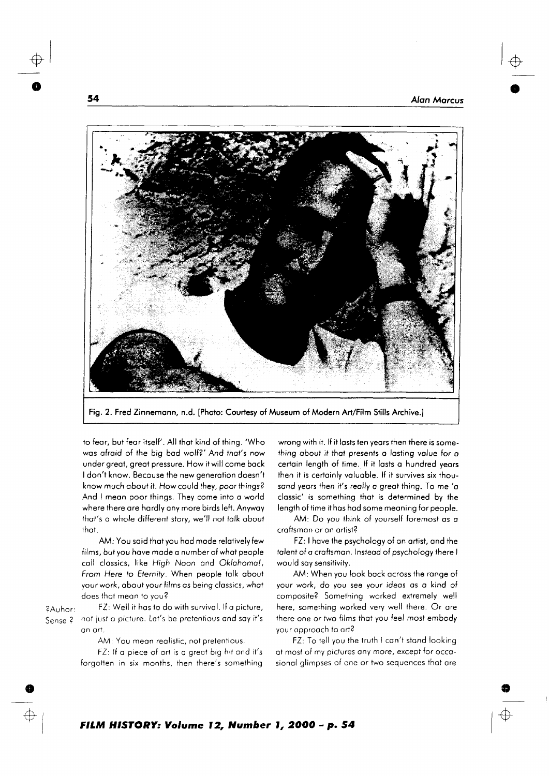

Fig. 2. Fred Zinnemann, n.d. [Photo: Courtesy of Museum of Modern Art/Film Stills Archive.]

to fear, but fear itself'. All that kind of thing. 'Who was afraid of the big bad wolf?' And that's now under great, great pressure. How it will come back I don't know. Because the new generation doesn't know much about it. How could they, poor things? And I mean poor things. They come into a world where there are hardly any more birds left. Anyway that's a whole different story, we'll not talk about that

AM: You said that you had made relatively few films, but you have made a number of what people call classics, like High Noon and Oklahoma!, From Here to Eternity. When people talk about your work, about your films as being classics, what does that mean to you?

FZ: Well it has to do with survival. If a picture,

#### ?Auhor: Sense ?

an art.

AM: You mean realistic, not pretentious.

not just a picture. Let's be pretentious and say it's

FZ: If a piece of art is a great big hit and it's forgotten in six months, then there's something

wrong with it. If it lasts ten years then there is something about it that presents a lasting value for a certain length of time. If it lasts a hundred years then it is certainly valuable. If it survives six thousand years then it's really a great thing. To me 'a classic' is something that is determined by the length of time it has had some meaning for people.

AM: Do you think of yourself foremost as a craftsman or an artist?

FZ: I have the psychology of an artist, and the talent of a craftsman. Instead of psychology there I would say sensitivity.

AM: When you look back across the range of your work, do you see your ideas as a kind of composite? Something worked extremely well here, something worked very well there. Or are there one or two films that you feel most embody your approach to art?

FZ: To tell you the truth I can't stand looking at most of my pictures any more, except for occasional alimpses of one or two sequences that are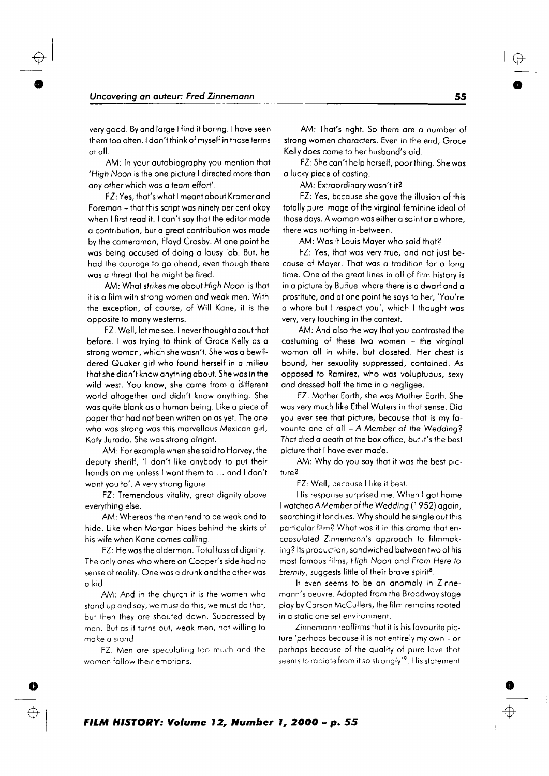very good. By and large I find it boring. I have seen them too often. I don't think of myself in those terms at all.

AM: In your autobiography you mention that 'High Noon is the one picture I directed more than any other which was a team effort'.

FZ: Yes, that's what I meant about Kramer and Foreman - that this script was ninety per cent okay when I first read it. I can't say that the editor made a contribution, but a great contribution was made by the cameraman, Floyd Crosby. At one point he was being accused of doing a lousy job. But, he had the courage to go ahead, even though there was a threat that he might be fired.

AM: What strikes me about High Noon is that it is a film with strong women and weak men. With the exception, of course, of Will Kane, it is the opposite to many westerns.

FZ: Well, let me see. I never thought about that before. I was trying to think of Grace Kelly as a strong woman, which she wasn't. She was a bewildered Quaker girl who found herself in a milieu that she didn't know anything about. She was in the wild west. You know, she came from a different world altogether and didn't know anything. She was quite blank as a human being. Like a piece of paper that had not been written on as yet. The one who was strong was this marvellous Mexican girl, Katy Jurado. She was strong alright.

AM: For example when she said to Harvey, the deputy sheriff, 'I don't like anybody to put their hands on me unless I want them to ... and I don't want you to'. A very strong figure.

FZ: Tremendous vitality, great dianity above everything else.

AM: Whereas the men tend to be weak and to hide. Like when Morgan hides behind the skirts of his wife when Kane comes calling.

FZ: He was the alderman. Total loss of dignity. The only ones who where on Cooper's side had no sense of reality. One was a drunk and the other was a kid.

AM: And in the church it is the women who stand up and say, we must do this, we must do that, but then they are shouted down. Suppressed by men. But as it turns out, weak men, not willing to make a stand.

FZ: Men are speculating too much and the women follow their emotions.

AM: That's right. So there are a number of strong women characters. Even in the end, Grace Kelly does come to her husband's aid.

FZ: She can't help herself, poor thing. She was a lucky piece of castina.

AM: Extraordinary wasn't it?

FZ: Yes, because she gave the illusion of this totally pure image of the virginal feminine ideal of those days. A woman was either a saint or a whore, there was nothing in-between.

AM: Was it Louis Maver who said that?

FZ: Yes, that was very true, and not just because of Mayer. That was a tradition for a long time. One of the great lines in all of film history is in a picture by Buñuel where there is a dwarf and a prostitute, and at one point he says to her, 'You're a whore but I respect you', which I thought was very, very touching in the context.

AM: And also the way that you contrasted the costuming of these two women - the virginal woman all in white, but closeted. Her chest is bound, her sexuality suppressed, contained. As opposed to Ramirez, who was voluptuous, sexy and dressed half the time in a negligee.

FZ: Mother Earth, she was Mother Earth. She was very much like Ethel Waters in that sense. Did you ever see that picture, because that is my favourite one of all - A Member of the Wedding? That died a death at the box office, but it's the best picture that I have ever made.

AM: Why do you say that it was the best picture?

FZ: Well, because I like it best.

His response surprised me. When I got home I watched A Member of the Wedding (1952) again, searching it for clues. Why should he single out this particular film? What was it in this drama that encapsulated Zinnemann's approach to filmmaking? Its production, sandwiched between two of his most famous films, High Noon and From Here to Eternity, suggests little of their brave spirit<sup>8</sup>.

It even seems to be an anomaly in Zinnemann's oeuvre. Adapted from the Broadway stage play by Carson McCullers, the film remains rooted in a static one set environment.

Zinnemann reaffirms that it is his favourite picture 'perhaps because it is not entirely my own - or perhaps because of the quality of pure love that seems to radiate from it so strongly'<sup>9</sup>. His statement